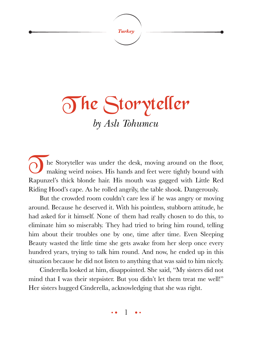

## The Storyteller *by Aslı Tohumcu*

he Storyteller was under the desk, moving around on the floor, making weird noises. His hands and feet were tightly bound with Rapunzel's thick blonde hair. His mouth was gagged with Little Red Riding Hood's cape. As he rolled angrily, the table shook. Dangerously.

But the crowded room couldn't care less if he was angry or moving around. Because he deserved it. With his pointless, stubborn attitude, he had asked for it himself. None of them had really chosen to do this, to eliminate him so miserably. They had tried to bring him round, telling him about their troubles one by one, time after time. Even Sleeping Beauty wasted the little time she gets awake from her sleep once every hundred years, trying to talk him round. And now, he ended up in this situation because he did not listen to anything that was said to him nicely.

Cinderella looked at him, disappointed. She said, "My sisters did not mind that I was their stepsister. But you didn't let them treat me well!" Her sisters hugged Cinderella, acknowledging that she was right.

1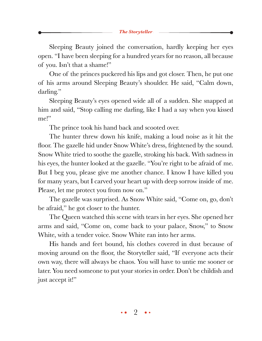Sleeping Beauty joined the conversation, hardly keeping her eyes open. "I have been sleeping for a hundred years for no reason, all because of you. Isn't that a shame!"

One of the princes puckered his lips and got closer. Then, he put one of his arms around Sleeping Beauty's shoulder. He said, "Calm down, darling."

Sleeping Beauty's eyes opened wide all of a sudden. She snapped at him and said, "Stop calling me darling, like I had a say when you kissed me!"

The prince took his hand back and scooted over.

The hunter threw down his knife, making a loud noise as it hit the floor. The gazelle hid under Snow White's dress, frightened by the sound. Snow White tried to soothe the gazelle, stroking his back. With sadness in his eyes, the hunter looked at the gazelle. "You're right to be afraid of me. But I beg you, please give me another chance. I know I have killed you for many years, but I carved your heart up with deep sorrow inside of me. Please, let me protect you from now on."

The gazelle was surprised. As Snow White said, "Come on, go, don't be afraid," he got closer to the hunter.

The Queen watched this scene with tears in her eyes. She opened her arms and said, "Come on, come back to your palace, Snow," to Snow White, with a tender voice. Snow White ran into her arms.

His hands and feet bound, his clothes covered in dust because of moving around on the floor, the Storyteller said, "If everyone acts their own way, there will always be chaos. You will have to untie me sooner or later. You need someone to put your stories in order. Don't be childish and just accept it!"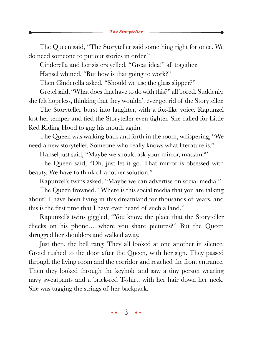## *The Storyteller*

The Queen said, "The Storyteller said something right for once. We do need someone to put our stories in order."

Cinderella and her sisters yelled, "Great idea!" all together.

Hansel whined, "But how is that going to work?"

Then Cinderella asked, "Should we use the glass slipper?"

Gretel said, "What does that have to do with this?" all bored. Suddenly, she felt hopeless, thinking that they wouldn't ever get rid of the Storyteller.

The Storyteller burst into laughter, with a fox-like voice. Rapunzel lost her temper and tied the Storyteller even tighter. She called for Little Red Riding Hood to gag his mouth again.

The Queen was walking back and forth in the room, whispering, "We need a new storyteller. Someone who really knows what literature is."

Hansel just said, "Maybe we should ask your mirror, madam?"

The Queen said, "Oh, just let it go. That mirror is obsessed with beauty. We have to think of another solution."

Rapunzel's twins asked, "Maybe we can advertise on social media."

The Queen frowned. "Where is this social media that you are talking about? I have been living in this dreamland for thousands of years, and this is the first time that I have ever heard of such a land."

Rapunzel's twins giggled, "You know, the place that the Storyteller checks on his phone… where you share pictures?" But the Queen shrugged her shoulders and walked away.

Just then, the bell rang. They all looked at one another in silence. Gretel rushed to the door after the Queen, with her sign. They passed through the living room and the corridor and reached the front entrance. Then they looked through the keyhole and saw a tiny person wearing navy sweatpants and a brick-red T-shirt, with her hair down her neck. She was tugging the strings of her backpack.

> 3  $\bullet$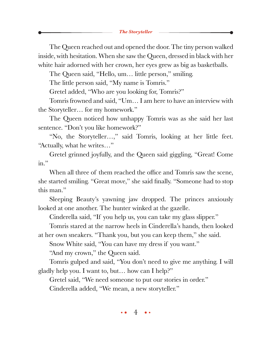The Queen reached out and opened the door. The tiny person walked inside, with hesitation. When she saw the Queen, dressed in black with her white hair adorned with her crown, her eyes grew as big as basketballs.

The Queen said, "Hello, um… little person," smiling.

The little person said, "My name is Tomris."

Gretel added, "Who are you looking for, Tomris?"

Tomris frowned and said, "Um… I am here to have an interview with the Storyteller… for my homework."

The Queen noticed how unhappy Tomris was as she said her last sentence. "Don't you like homework?"

"No, the Storyteller…," said Tomris, looking at her little feet. "Actually, what he writes…"

Gretel grinned joyfully, and the Queen said giggling, "Great! Come in."

When all three of them reached the office and Tomris saw the scene, she started smiling. "Great move," she said finally. "Someone had to stop this man"

Sleeping Beauty's yawning jaw dropped. The princes anxiously looked at one another. The hunter winked at the gazelle.

Cinderella said, "If you help us, you can take my glass slipper."

Tomris stared at the narrow heels in Cinderella's hands, then looked at her own sneakers. "Thank you, but you can keep them," she said.

Snow White said, "You can have my dress if you want."

"And my crown," the Queen said.

Tomris gulped and said, "You don't need to give me anything. I will gladly help you. I want to, but… how can I help?"

Gretel said, "We need someone to put our stories in order." Cinderella added, "We mean, a new storyteller."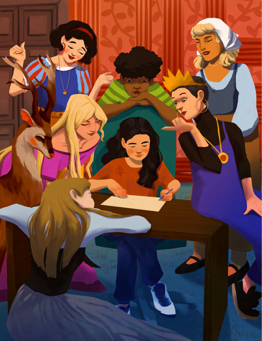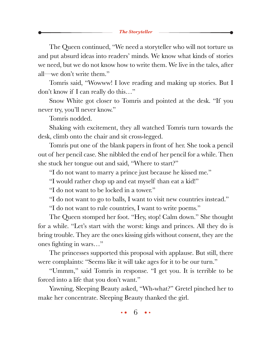The Queen continued, "We need a storyteller who will not torture us and put absurd ideas into readers' minds. We know what kinds of stories we need, but we do not know how to write them. We live in the tales, after all—we don't write them."

Tomris said, "Wowww! I love reading and making up stories. But I don't know if I can really do this…"

Snow White got closer to Tomris and pointed at the desk. "If you never try, you'll never know."

Tomris nodded.

Shaking with excitement, they all watched Tomris turn towards the desk, climb onto the chair and sit cross-legged.

Tomris put one of the blank papers in front of her. She took a pencil out of her pencil case. She nibbled the end of her pencil for a while. Then she stuck her tongue out and said, "Where to start?"

"I do not want to marry a prince just because he kissed me."

"I would rather chop up and eat myself than eat a kid!"

"I do not want to be locked in a tower."

"I do not want to go to balls, I want to visit new countries instead."

"I do not want to rule countries, I want to write poems."

The Queen stomped her foot. "Hey, stop! Calm down." She thought for a while. "Let's start with the worst: kings and princes. All they do is bring trouble. They are the ones kissing girls without consent, they are the ones fighting in wars…"

The princesses supported this proposal with applause. But still, there were complaints: "Seems like it will take ages for it to be our turn."

"Ummm," said Tomris in response. "I get you. It is terrible to be forced into a life that you don't want."

Yawning, Sleeping Beauty asked, "Wh-what?" Gretel pinched her to make her concentrate. Sleeping Beauty thanked the girl.